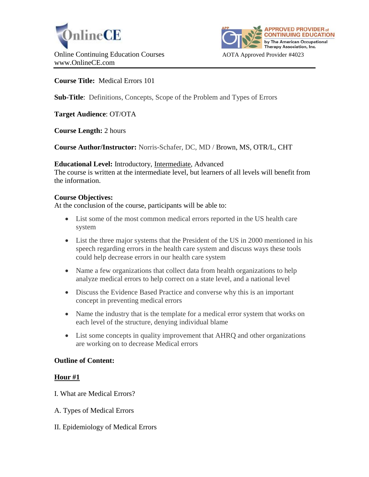



## **Course Title:** Medical Errors 101

**Sub-Title**: Definitions, Concepts, Scope of the Problem and Types of Errors

**Target Audience**: OT/OTA

**Course Length:** 2 hours

**Course Author/Instructor:** Norris-Schafer, DC, MD / Brown, MS, OTR/L, CHT

### **Educational Level:** Introductory, Intermediate, Advanced

The course is written at the intermediate level, but learners of all levels will benefit from the information.

### **Course Objectives:**

At the conclusion of the course, participants will be able to:

- List some of the most common medical errors reported in the US health care system
- List the three major systems that the President of the US in 2000 mentioned in his speech regarding errors in the health care system and discuss ways these tools could help decrease errors in our health care system
- Name a few organizations that collect data from health organizations to help analyze medical errors to help correct on a state level, and a national level
- Discuss the Evidence Based Practice and converse why this is an important concept in preventing medical errors
- Name the industry that is the template for a medical error system that works on each level of the structure, denying individual blame
- List some concepts in quality improvement that AHRQ and other organizations are working on to decrease Medical errors

#### **Outline of Content:**

## **Hour #1**

- I. What are Medical Errors?
- A. Types of Medical Errors
- II. Epidemiology of Medical Errors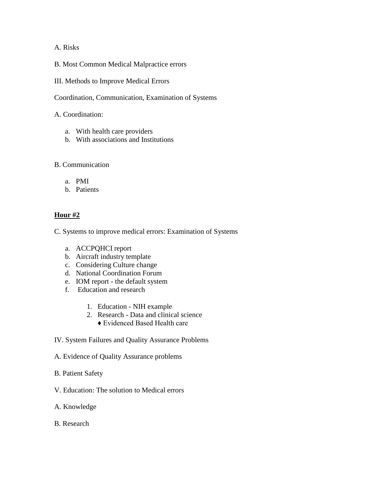## A. Risks

- B. Most Common Medical Malpractice errors
- III. Methods to Improve Medical Errors

Coordination, Communication, Examination of Systems

## A. Coordination:

- a. With health care providers
- b. With associations and Institutions

## B. Communication

- a. PMI
- b. Patients

# **Hour #2**

C. Systems to improve medical errors: Examination of Systems

- a. ACCPQHCI report
- b. Aircraft industry template
- c. Considering Culture change
- d. National Coordination Forum
- e. IOM report the default system
- f. Education and research
	- 1. Education NIH example
	- 2. Research Data and clinical science
		- ♦ Evidenced Based Health care
- IV. System Failures and Quality Assurance Problems
- A. Evidence of Quality Assurance problems
- B. Patient Safety
- V. Education: The solution to Medical errors
- A. Knowledge
- B. Research